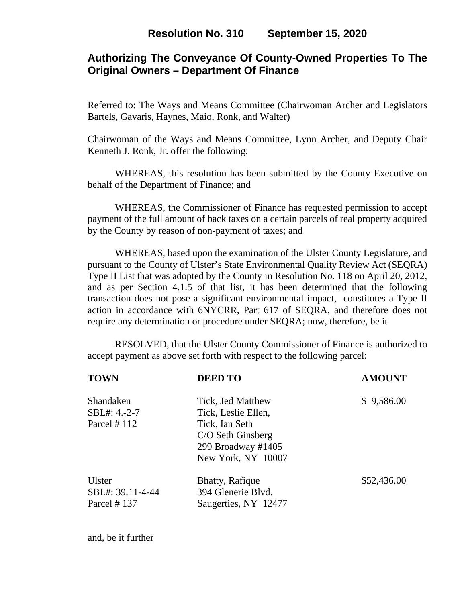## **Authorizing The Conveyance Of County-Owned Properties To The Original Owners – Department Of Finance**

Referred to: The Ways and Means Committee (Chairwoman Archer and Legislators Bartels, Gavaris, Haynes, Maio, Ronk, and Walter)

Chairwoman of the Ways and Means Committee, Lynn Archer, and Deputy Chair Kenneth J. Ronk, Jr. offer the following:

 WHEREAS, this resolution has been submitted by the County Executive on behalf of the Department of Finance; and

 WHEREAS, the Commissioner of Finance has requested permission to accept payment of the full amount of back taxes on a certain parcels of real property acquired by the County by reason of non-payment of taxes; and

WHEREAS, based upon the examination of the Ulster County Legislature, and pursuant to the County of Ulster's State Environmental Quality Review Act (SEQRA) Type II List that was adopted by the County in Resolution No. 118 on April 20, 2012, and as per Section 4.1.5 of that list, it has been determined that the following transaction does not pose a significant environmental impact, constitutes a Type II action in accordance with 6NYCRR, Part 617 of SEQRA, and therefore does not require any determination or procedure under SEQRA; now, therefore, be it

 RESOLVED, that the Ulster County Commissioner of Finance is authorized to accept payment as above set forth with respect to the following parcel:

| <b>TOWN</b>                               | <b>DEED TO</b>                                                                  | <b>AMOUNT</b> |
|-------------------------------------------|---------------------------------------------------------------------------------|---------------|
| Shandaken<br>SBL#: 4.-2-7                 | Tick, Jed Matthew<br>Tick, Leslie Ellen,                                        | \$9,586.00    |
| Parcel $#112$                             | Tick, Ian Seth<br>C/O Seth Ginsberg<br>299 Broadway #1405<br>New York, NY 10007 |               |
| Ulster<br>SBL#: 39.11-4-44<br>Parcel #137 | <b>Bhatty, Rafique</b><br>394 Glenerie Blvd.<br>Saugerties, NY 12477            | \$52,436.00   |

and, be it further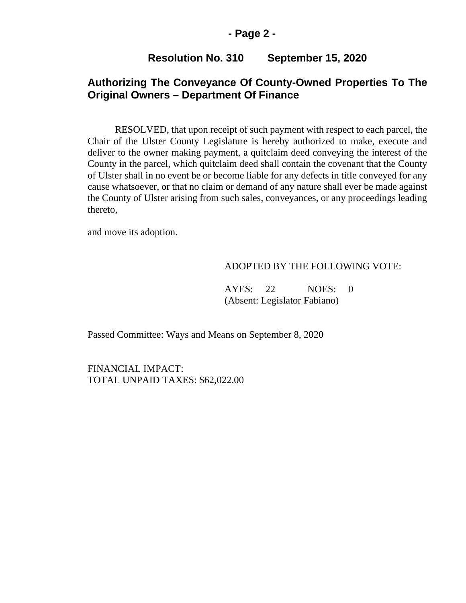### **- Page 2 -**

## **Resolution No. 310 September 15, 2020**

## **Authorizing The Conveyance Of County-Owned Properties To The Original Owners – Department Of Finance**

RESOLVED, that upon receipt of such payment with respect to each parcel, the Chair of the Ulster County Legislature is hereby authorized to make, execute and deliver to the owner making payment, a quitclaim deed conveying the interest of the County in the parcel, which quitclaim deed shall contain the covenant that the County of Ulster shall in no event be or become liable for any defects in title conveyed for any cause whatsoever, or that no claim or demand of any nature shall ever be made against the County of Ulster arising from such sales, conveyances, or any proceedings leading thereto,

and move its adoption.

#### ADOPTED BY THE FOLLOWING VOTE:

AYES: 22 NOES: 0 (Absent: Legislator Fabiano)

Passed Committee: Ways and Means on September 8, 2020

FINANCIAL IMPACT: TOTAL UNPAID TAXES: \$62,022.00